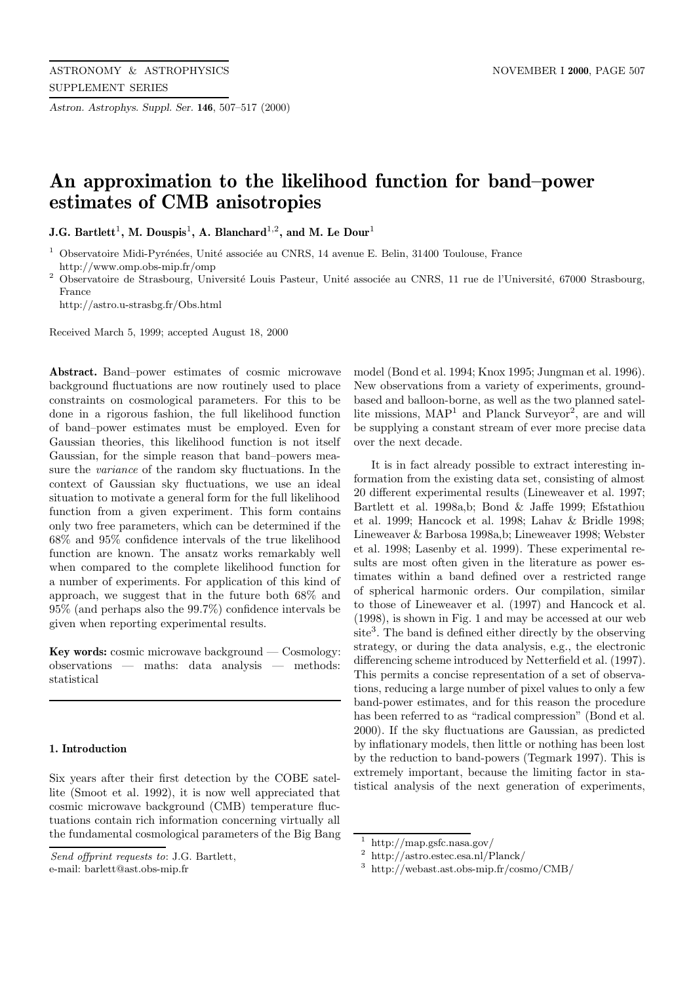*Astron. Astrophys. Suppl. Ser.* **146**, 507–517 (2000)

# **An approximation to the likelihood function for band–power estimates of CMB anisotropies**

**J.G. Bartlett**<sup>1</sup>**, M. Douspis**<sup>1</sup>**, A. Blanchard**<sup>1</sup>,<sup>2</sup>**, and M. Le Dour**<sup>1</sup>

 $^{\rm 1}$  Observatoire Midi-Pyrénées, Unité associée au CNRS, 14 avenue E. Belin, 31400 Toulouse, France http://www.omp.obs-mip.fr/omp

<sup>2</sup> Observatoire de Strasbourg, Université Louis Pasteur, Unité associée au CNRS, 11 rue de l'Université, 67000 Strasbourg, France

http://astro.u-strasbg.fr/Obs.html

Received March 5, 1999; accepted August 18, 2000

**Abstract.** Band–power estimates of cosmic microwave background fluctuations are now routinely used to place constraints on cosmological parameters. For this to be done in a rigorous fashion, the full likelihood function of band–power estimates must be employed. Even for Gaussian theories, this likelihood function is not itself Gaussian, for the simple reason that band–powers measure the variance of the random sky fluctuations. In the context of Gaussian sky fluctuations, we use an ideal situation to motivate a general form for the full likelihood function from a given experiment. This form contains only two free parameters, which can be determined if the 68% and 95% confidence intervals of the true likelihood function are known. The ansatz works remarkably well when compared to the complete likelihood function for a number of experiments. For application of this kind of approach, we suggest that in the future both 68% and 95% (and perhaps also the 99.7%) confidence intervals be given when reporting experimental results.

**Key words:** cosmic microwave background — Cosmology: observations — maths: data analysis — methods: statistical

### **1. Introduction**

Six years after their first detection by the COBE satellite (Smoot et al. 1992), it is now well appreciated that cosmic microwave background (CMB) temperature fluctuations contain rich information concerning virtually all the fundamental cosmological parameters of the Big Bang

e-mail: barlett@ast.obs-mip.fr

model (Bond et al. 1994; Knox 1995; Jungman et al. 1996). New observations from a variety of experiments, groundbased and balloon-borne, as well as the two planned satellite missions,  $MAP<sup>1</sup>$  and Planck Surveyor<sup>2</sup>, are and will be supplying a constant stream of ever more precise data over the next decade.

It is in fact already possible to extract interesting information from the existing data set, consisting of almost 20 different experimental results (Lineweaver et al. 1997; Bartlett et al. 1998a,b; Bond & Jaffe 1999; Efstathiou et al. 1999; Hancock et al. 1998; Lahav & Bridle 1998; Lineweaver & Barbosa 1998a,b; Lineweaver 1998; Webster et al. 1998; Lasenby et al. 1999). These experimental results are most often given in the literature as power estimates within a band defined over a restricted range of spherical harmonic orders. Our compilation, similar to those of Lineweaver et al. (1997) and Hancock et al. (1998), is shown in Fig. 1 and may be accessed at our web site<sup>3</sup>. The band is defined either directly by the observing strategy, or during the data analysis, e.g., the electronic differencing scheme introduced by Netterfield et al. (1997). This permits a concise representation of a set of observations, reducing a large number of pixel values to only a few band-power estimates, and for this reason the procedure has been referred to as "radical compression" (Bond et al. 2000). If the sky fluctuations are Gaussian, as predicted by inflationary models, then little or nothing has been lost by the reduction to band-powers (Tegmark 1997). This is extremely important, because the limiting factor in statistical analysis of the next generation of experiments,

Send offprint requests to: J.G. Bartlett,

<sup>1</sup> http://map.gsfc.nasa.gov/

<sup>2</sup> http://astro.estec.esa.nl/Planck/

<sup>3</sup> http://webast.ast.obs-mip.fr/cosmo/CMB/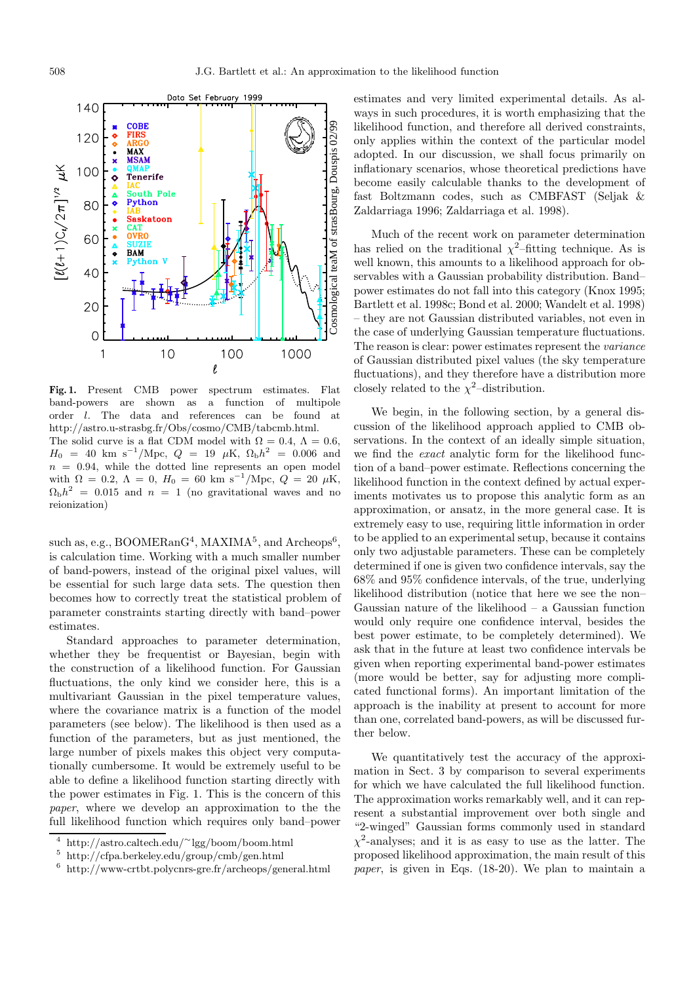

**Fig. 1.** Present CMB power spectrum estimates. Flat band-powers are shown as a function of multipole order l. The data and references can be found at http://astro.u-strasbg.fr/Obs/cosmo/CMB/tabcmb.html. The solid curve is a flat CDM model with  $\Omega = 0.4$ ,  $\Lambda = 0.6$ ,  $H_0 = 40$  km s<sup>-1</sup>/Mpc,  $Q = 19$  µK,  $\Omega_{\rm b}h^2 = 0.006$  and  $n = 0.94$ , while the dotted line represents an open model with  $\Omega = 0.2$ ,  $\Lambda = 0$ ,  $H_0 = 60$  km s<sup>-1</sup>/Mpc,  $Q = 20 \mu K$ ,  $\Omega_{\rm b}h^2 = 0.015$  and  $n = 1$  (no gravitational waves and no reionization)

such as, e.g.,  $BOODERanG<sup>4</sup>$ ,  $MAXIMA<sup>5</sup>$ , and  $Archeops<sup>6</sup>$ . is calculation time. Working with a much smaller number of band-powers, instead of the original pixel values, will be essential for such large data sets. The question then becomes how to correctly treat the statistical problem of parameter constraints starting directly with band–power estimates.

Standard approaches to parameter determination, whether they be frequentist or Bayesian, begin with the construction of a likelihood function. For Gaussian fluctuations, the only kind we consider here, this is a multivariant Gaussian in the pixel temperature values, where the covariance matrix is a function of the model parameters (see below). The likelihood is then used as a function of the parameters, but as just mentioned, the large number of pixels makes this object very computationally cumbersome. It would be extremely useful to be able to define a likelihood function starting directly with the power estimates in Fig. 1. This is the concern of this paper, where we develop an approximation to the the full likelihood function which requires only band–power

estimates and very limited experimental details. As always in such procedures, it is worth emphasizing that the likelihood function, and therefore all derived constraints, only applies within the context of the particular model adopted. In our discussion, we shall focus primarily on inflationary scenarios, whose theoretical predictions have become easily calculable thanks to the development of fast Boltzmann codes, such as CMBFAST (Seljak & Zaldarriaga 1996; Zaldarriaga et al. 1998).

Much of the recent work on parameter determination has relied on the traditional  $\chi^2$ –fitting technique. As is well known, this amounts to a likelihood approach for observables with a Gaussian probability distribution. Band– power estimates do not fall into this category (Knox 1995; Bartlett et al. 1998c; Bond et al. 2000; Wandelt et al. 1998) – they are not Gaussian distributed variables, not even in the case of underlying Gaussian temperature fluctuations. The reason is clear: power estimates represent the variance of Gaussian distributed pixel values (the sky temperature fluctuations), and they therefore have a distribution more closely related to the  $\chi^2$ -distribution.

We begin, in the following section, by a general discussion of the likelihood approach applied to CMB observations. In the context of an ideally simple situation, we find the exact analytic form for the likelihood function of a band–power estimate. Reflections concerning the likelihood function in the context defined by actual experiments motivates us to propose this analytic form as an approximation, or ansatz, in the more general case. It is extremely easy to use, requiring little information in order to be applied to an experimental setup, because it contains only two adjustable parameters. These can be completely determined if one is given two confidence intervals, say the 68% and 95% confidence intervals, of the true, underlying likelihood distribution (notice that here we see the non– Gaussian nature of the likelihood  $-$  a Gaussian function would only require one confidence interval, besides the best power estimate, to be completely determined). We ask that in the future at least two confidence intervals be given when reporting experimental band-power estimates (more would be better, say for adjusting more complicated functional forms). An important limitation of the approach is the inability at present to account for more than one, correlated band-powers, as will be discussed further below.

We quantitatively test the accuracy of the approximation in Sect. 3 by comparison to several experiments for which we have calculated the full likelihood function. The approximation works remarkably well, and it can represent a substantial improvement over both single and "2-winged" Gaussian forms commonly used in standard  $\chi^2$ -analyses; and it is as easy to use as the latter. The proposed likelihood approximation, the main result of this paper, is given in Eqs. (18-20). We plan to maintain a

<sup>4</sup> http://astro.caltech.edu/∼lgg/boom/boom.html

<sup>5</sup> http://cfpa.berkeley.edu/group/cmb/gen.html

 $^6$ http://www-crtbt.polycnrs-gre.fr/archeops/general.html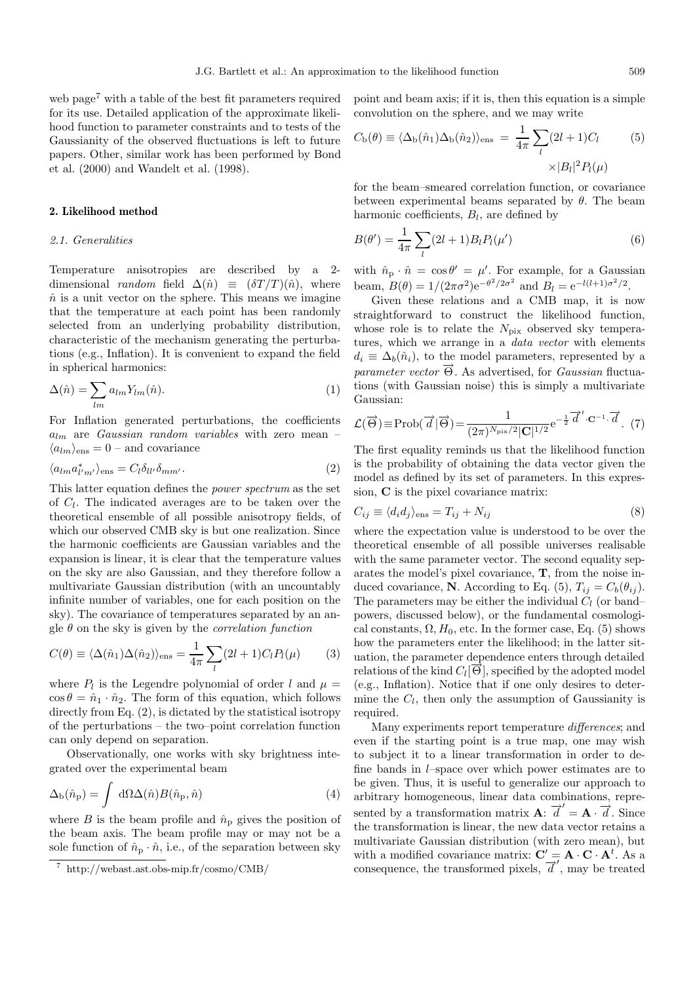web page<sup>7</sup> with a table of the best fit parameters required for its use. Detailed application of the approximate likelihood function to parameter constraints and to tests of the Gaussianity of the observed fluctuations is left to future papers. Other, similar work has been performed by Bond et al. (2000) and Wandelt et al. (1998).

## **2. Likelihood method**

## 2.1. Generalities

Temperature anisotropies are described by a 2 dimensional *random* field  $\Delta(\hat{n}) \equiv (\delta T/T)(\hat{n})$ , where  $\hat{n}$  is a unit vector on the sphere. This means we imagine that the temperature at each point has been randomly selected from an underlying probability distribution, characteristic of the mechanism generating the perturbations (e.g., Inflation). It is convenient to expand the field in spherical harmonics:

$$
\Delta(\hat{n}) = \sum_{lm} a_{lm} Y_{lm}(\hat{n}).
$$
\n(1)

For Inflation generated perturbations, the coefficients  $a_{lm}$  are *Gaussian random variables* with zero mean –  $\langle a_{lm} \rangle_{\text{ens}} = 0$  – and covariance

$$
\langle a_{lm} a_{l'm'}^* \rangle_{\text{ens}} = C_l \delta_{ll'} \delta_{mm'}.
$$
\n(2)

This latter equation defines the power spectrum as the set of  $C_l$ . The indicated averages are to be taken over the theoretical ensemble of all possible anisotropy fields, of which our observed CMB sky is but one realization. Since the harmonic coefficients are Gaussian variables and the expansion is linear, it is clear that the temperature values on the sky are also Gaussian, and they therefore follow a multivariate Gaussian distribution (with an uncountably infinite number of variables, one for each position on the sky). The covariance of temperatures separated by an angle  $\theta$  on the sky is given by the *correlation function* 

$$
C(\theta) \equiv \langle \Delta(\hat{n}_1) \Delta(\hat{n}_2) \rangle_{\text{ens}} = \frac{1}{4\pi} \sum_{l} (2l+1) C_l P_l(\mu) \tag{3}
$$

where  $P_l$  is the Legendre polynomial of order l and  $\mu =$  $\cos \theta = \hat{n}_1 \cdot \hat{n}_2$ . The form of this equation, which follows directly from Eq. (2), is dictated by the statistical isotropy of the perturbations – the two–point correlation function can only depend on separation.

Observationally, one works with sky brightness integrated over the experimental beam

$$
\Delta_{\rm b}(\hat{n}_{\rm p}) = \int \, \mathrm{d}\Omega \Delta(\hat{n}) B(\hat{n}_{\rm p}, \hat{n}) \tag{4}
$$

where B is the beam profile and  $\hat{n}_p$  gives the position of the beam axis. The beam profile may or may not be a sole function of  $\hat{n}_p \cdot \hat{n}$ , i.e., of the separation between sky

point and beam axis; if it is, then this equation is a simple convolution on the sphere, and we may write

$$
C_{\rm b}(\theta) \equiv \langle \Delta_{\rm b}(\hat{n}_1) \Delta_{\rm b}(\hat{n}_2) \rangle_{\rm ens} = \frac{1}{4\pi} \sum_{l} (2l+1)C_l \tag{5}
$$

$$
\times |B_l|^2 P_l(\mu)
$$

for the beam–smeared correlation function, or covariance between experimental beams separated by  $\theta$ . The beam harmonic coefficients,  $B_l$ , are defined by

$$
B(\theta') = \frac{1}{4\pi} \sum_{l} (2l+1) B_l P_l(\mu')
$$
\n(6)

with  $\hat{n}_p \cdot \hat{n} = \cos \theta' = \mu'$ . For example, for a Gaussian beam,  $B(\theta) = 1/(2\pi\sigma^2)e^{-\theta^2/2\sigma^2}$  and  $B_l = e^{-l(l+1)\sigma^2/2}$ .

Given these relations and a CMB map, it is now straightforward to construct the likelihood function, whose role is to relate the  $N_{\text{pix}}$  observed sky temperatures, which we arrange in a *data vector* with elements  $d_i \equiv \Delta_b(\hat{n}_i)$ , to the model parameters, represented by a *parameter vector*  $\overline{\Theta}$ . As advertised, for *Gaussian* fluctuations (with Gaussian noise) this is simply a multivariate Gaussian:

$$
\mathcal{L}(\vec{\Theta}) \equiv \text{Prob}(\vec{d} \,|\vec{\Theta}) = \frac{1}{(2\pi)^{N_{\text{pix}}/2} |\mathbf{C}|^{1/2}} e^{-\frac{1}{2} \vec{d}^t \cdot \mathbf{C}^{-1} \cdot \vec{d}}. \tag{7}
$$

The first equality reminds us that the likelihood function is the probability of obtaining the data vector given the model as defined by its set of parameters. In this expression, **C** is the pixel covariance matrix:

$$
C_{ij} \equiv \langle d_i d_j \rangle_{\text{ens}} = T_{ij} + N_{ij} \tag{8}
$$

where the expectation value is understood to be over the theoretical ensemble of all possible universes realisable with the same parameter vector. The second equality separates the model's pixel covariance, **T**, from the noise induced covariance, **N**. According to Eq. (5),  $T_{ij} = C_b(\theta_{ij})$ . The parameters may be either the individual  $C_l$  (or band– powers, discussed below), or the fundamental cosmological constants,  $\Omega$ ,  $H_0$ , etc. In the former case, Eq. (5) shows how the parameters enter the likelihood; in the latter situation, the parameter dependence enters through detailed relations of the kind  $C_l[\vec{\Theta}]$ , specified by the adopted model (e.g., Inflation). Notice that if one only desires to determine the  $C_l$ , then only the assumption of Gaussianity is required.

Many experiments report temperature differences; and even if the starting point is a true map, one may wish to subject it to a linear transformation in order to define bands in l–space over which power estimates are to be given. Thus, it is useful to generalize our approach to arbitrary homogeneous, linear data combinations, represented by a transformation matrix  $\mathbf{A}$ :  $\overline{d}' = \mathbf{A} \cdot \overline{d}$ . Since the transformation is linear, the new data vector retains a multivariate Gaussian distribution (with zero mean), but with a modified covariance matrix:  $C' = A \cdot C \cdot A^t$ . As a consequence, the transformed pixels,  $\overrightarrow{d}'$ , may be treated

<sup>7</sup> http://webast.ast.obs-mip.fr/cosmo/CMB/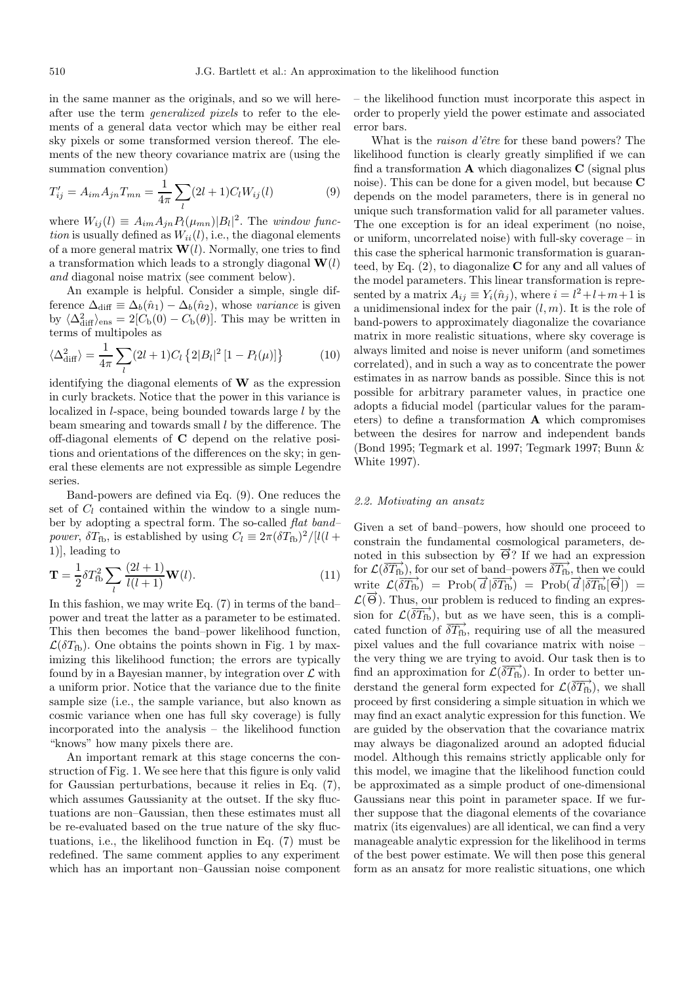in the same manner as the originals, and so we will hereafter use the term generalized pixels to refer to the elements of a general data vector which may be either real sky pixels or some transformed version thereof. The elements of the new theory covariance matrix are (using the summation convention)

$$
T'_{ij} = A_{im} A_{jn} T_{mn} = \frac{1}{4\pi} \sum_{l} (2l+1) C_l W_{ij}(l)
$$
 (9)

where  $W_{ij}(l) \equiv A_{im} A_{jn} P_l(\mu_{mn}) |B_l|^2$ . The *window func*tion is usually defined as  $W_{ii}(l)$ , i.e., the diagonal elements of a more general matrix  $\mathbf{W}(l)$ . Normally, one tries to find a transformation which leads to a strongly diagonal **W**(l) and diagonal noise matrix (see comment below).

An example is helpful. Consider a simple, single difference  $\Delta_{\text{diff}} \equiv \Delta_b(\hat{n}_1) - \Delta_b(\hat{n}_2)$ , whose variance is given by  $\langle \Delta^2_{\text{diff}} \rangle_{\text{ens}} = 2[C_b(0) - C_b(\theta)].$  This may be written in terms of multipoles as

$$
\langle \Delta_{\text{diff}}^2 \rangle = \frac{1}{4\pi} \sum_{l} (2l+1) C_l \left\{ 2|B_l|^2 \left[ 1 - P_l(\mu) \right] \right\} \tag{10}
$$

identifying the diagonal elements of **W** as the expression in curly brackets. Notice that the power in this variance is localized in l-space, being bounded towards large l by the beam smearing and towards small l by the difference. The off-diagonal elements of **C** depend on the relative positions and orientations of the differences on the sky; in general these elements are not expressible as simple Legendre series.

Band-powers are defined via Eq. (9). One reduces the set of  $C_l$  contained within the window to a single number by adopting a spectral form. The so-called flat band– *power*,  $\delta T_{\text{fb}}$ , is established by using  $C_l \equiv 2\pi (\delta T_{\text{fb}})^2/|l(l +$ 1)], leading to

$$
\mathbf{T} = \frac{1}{2} \delta T_{\text{fb}}^2 \sum_{l} \frac{(2l+1)}{l(l+1)} \mathbf{W}(l). \tag{11}
$$

In this fashion, we may write Eq. (7) in terms of the band– power and treat the latter as a parameter to be estimated. This then becomes the band–power likelihood function,  $\mathcal{L}(\delta T_{\text{fb}})$ . One obtains the points shown in Fig. 1 by maximizing this likelihood function; the errors are typically found by in a Bayesian manner, by integration over  $\mathcal L$  with a uniform prior. Notice that the variance due to the finite sample size (i.e., the sample variance, but also known as cosmic variance when one has full sky coverage) is fully incorporated into the analysis – the likelihood function "knows" how many pixels there are.

An important remark at this stage concerns the construction of Fig. 1. We see here that this figure is only valid for Gaussian perturbations, because it relies in Eq. (7), which assumes Gaussianity at the outset. If the sky fluctuations are non–Gaussian, then these estimates must all be re-evaluated based on the true nature of the sky fluctuations, i.e., the likelihood function in Eq. (7) must be redefined. The same comment applies to any experiment which has an important non–Gaussian noise component – the likelihood function must incorporate this aspect in order to properly yield the power estimate and associated error bars.

What is the *raison d'être* for these band powers? The likelihood function is clearly greatly simplified if we can find a transformation **A** which diagonalizes **C** (signal plus noise). This can be done for a given model, but because **C** depends on the model parameters, there is in general no unique such transformation valid for all parameter values. The one exception is for an ideal experiment (no noise, or uniform, uncorrelated noise) with full-sky coverage – in this case the spherical harmonic transformation is guaranteed, by Eq. (2), to diagonalize **C** for any and all values of the model parameters. This linear transformation is represented by a matrix  $A_{ij} \equiv Y_i(\hat{n}_j)$ , where  $i = l^2 + l + m + 1$  is a unidimensional index for the pair  $(l,m)$ . It is the role of band-powers to approximately diagonalize the covariance matrix in more realistic situations, where sky coverage is always limited and noise is never uniform (and sometimes correlated), and in such a way as to concentrate the power estimates in as narrow bands as possible. Since this is not possible for arbitrary parameter values, in practice one adopts a fiducial model (particular values for the parameters) to define a transformation **A** which compromises between the desires for narrow and independent bands (Bond 1995; Tegmark et al. 1997; Tegmark 1997; Bunn & White 1997).

#### 2.2. Motivating an ansatz

Given a set of band–powers, how should one proceed to constrain the fundamental cosmological parameters, denoted in this subsection by  $\vec{\Theta}$ ? If we had an expression for  $\mathcal{L}(\overrightarrow{\delta T_{\text{fb}}})$ , for our set of band–powers  $\overrightarrow{\delta T_{\text{fb}}},$  then we could write  $\mathcal{L}(\overrightarrow{\delta T_{\text{fb}}}) = \text{Prob}(\overrightarrow{d} | \overrightarrow{\delta T_{\text{fb}}}) = \text{Prob}(\overrightarrow{d} | \overrightarrow{\delta T_{\text{fb}}}|\overrightarrow{\Theta})$  $\mathcal{L}(\vec{\Theta})$ . Thus, our problem is reduced to finding an expression for  $\mathcal{L}(\overrightarrow{\delta T_{\text{fb}}})$ , but as we have seen, this is a complicated function of  $\overline{\delta T_{\text{fb}}}$ , requiring use of all the measured pixel values and the full covariance matrix with noise – the very thing we are trying to avoid. Our task then is to find an approximation for  $\mathcal{L}(\overrightarrow{\delta T_{\text{fb}}})$ . In order to better understand the general form expected for  $\mathcal{L}(\overrightarrow{\delta T_{\text{fb}}})$ , we shall proceed by first considering a simple situation in which we may find an exact analytic expression for this function. We are guided by the observation that the covariance matrix may always be diagonalized around an adopted fiducial model. Although this remains strictly applicable only for this model, we imagine that the likelihood function could be approximated as a simple product of one-dimensional Gaussians near this point in parameter space. If we further suppose that the diagonal elements of the covariance matrix (its eigenvalues) are all identical, we can find a very manageable analytic expression for the likelihood in terms of the best power estimate. We will then pose this general form as an ansatz for more realistic situations, one which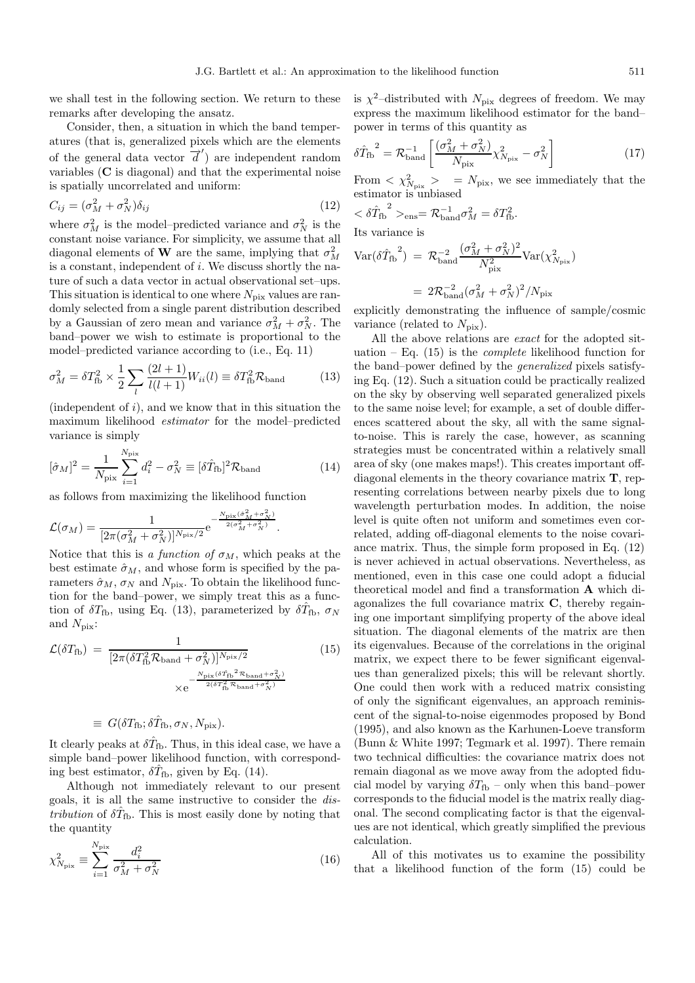we shall test in the following section. We return to these remarks after developing the ansatz.

Consider, then, a situation in which the band temperatures (that is, generalized pixels which are the elements of the general data vector  $\overrightarrow{d}'$  are independent random variables (**C** is diagonal) and that the experimental noise is spatially uncorrelated and uniform:

$$
C_{ij} = (\sigma_M^2 + \sigma_N^2)\delta_{ij} \tag{12}
$$

where  $\sigma_M^2$  is the model-predicted variance and  $\sigma_N^2$  is the constant noise variance. For simplicity, we assume that all diagonal elements of **W** are the same, implying that  $\sigma_M^2$ is a constant, independent of  $i$ . We discuss shortly the nature of such a data vector in actual observational set–ups. This situation is identical to one where  $N_{\text{pix}}$  values are randomly selected from a single parent distribution described by a Gaussian of zero mean and variance  $\sigma_M^2 + \sigma_N^2$ . The band–power we wish to estimate is proportional to the model–predicted variance according to (i.e., Eq. 11)

$$
\sigma_M^2 = \delta T_{\text{fb}}^2 \times \frac{1}{2} \sum_l \frac{(2l+1)}{l(l+1)} W_{ii}(l) \equiv \delta T_{\text{fb}}^2 \mathcal{R}_{\text{band}} \tag{13}
$$

(independent of  $i$ ), and we know that in this situation the maximum likelihood estimator for the model–predicted variance is simply

$$
[\hat{\sigma}_M]^2 = \frac{1}{N_{\text{pix}}} \sum_{i=1}^{N_{\text{pix}}} d_i^2 - \sigma_N^2 \equiv [\delta \hat{T}_{\text{fb}}]^2 \mathcal{R}_{\text{band}}
$$
(14)

as follows from maximizing the likelihood function

$$
\mathcal{L}(\sigma_M) = \frac{1}{[2\pi(\sigma_M^2 + \sigma_N^2)]^{N_{\text{pix}}/2}} e^{-\frac{N_{\text{pix}}(\hat{\sigma}_M^2 + \sigma_N^2)}{2(\sigma_M^2 + \sigma_N^2)}}.
$$

Notice that this is a function of  $\sigma_M$ , which peaks at the best estimate  $\hat{\sigma}_M$ , and whose form is specified by the parameters  $\hat{\sigma}_M$ ,  $\sigma_N$  and  $N_{\text{pix}}$ . To obtain the likelihood function for the band–power, we simply treat this as a function of  $\delta T_{\text{fb}}$ , using Eq. (13), parameterized by  $\delta \hat{T}_{\text{fb}}$ ,  $\sigma_N$ and  $N_{\text{pix}}$ :

$$
\mathcal{L}(\delta T_{\text{fb}}) = \frac{1}{[2\pi(\delta T_{\text{fb}}^2 \mathcal{R}_{\text{band}} + \sigma_N^2)]^{N_{\text{pix}}/2}} \qquad (15)
$$

$$
\times e^{-\frac{N_{\text{pix}}(\delta \hat{T}_{\text{fb}}^2 \mathcal{R}_{\text{band}} + \sigma_N^2)}{2(\delta T_{\text{fb}}^2 \mathcal{R}_{\text{band}} + \sigma_N^2)}}
$$

$$
\equiv G(\delta T_{\rm fb}; \delta \hat T_{\rm fb}, \sigma_N, N_{\rm pix}).
$$

It clearly peaks at  $\delta \hat{T}_{\text{fb}}$ . Thus, in this ideal case, we have a simple band–power likelihood function, with corresponding best estimator,  $\delta \hat{T}_{\text{fb}}$ , given by Eq. (14).

Although not immediately relevant to our present goals, it is all the same instructive to consider the dis*tribution* of  $\delta \hat{T}_{\text{fb}}$ . This is most easily done by noting that the quantity

$$
\chi_{N_{\text{pix}}}^2 \equiv \sum_{i=1}^{N_{\text{pix}}} \frac{d_i^2}{\sigma_M^2 + \sigma_N^2} \tag{16}
$$

is  $\chi^2$ -distributed with  $N_{\text{pix}}$  degrees of freedom. We may express the maximum likelihood estimator for the band– power in terms of this quantity as

$$
\delta\hat{T}_{\text{fb}}^2 = \mathcal{R}_{\text{band}}^{-1} \left[ \frac{(\sigma_M^2 + \sigma_N^2)}{N_{\text{pix}}} \chi_{N_{\text{pix}}}^2 - \sigma_N^2 \right] \tag{17}
$$

From  $\langle \chi^2_{N_{\text{pix}}} \rangle$  =  $N_{\text{pix}}$ , we see immediately that the estimator is unbiased

$$
\langle \delta \hat{T}_{\text{fb}}^2 \rangle_{\text{ens}} = \mathcal{R}_{\text{band}}^{-1} \sigma_M^2 = \delta T_{\text{fb}}^2.
$$

Its variance is

$$
\begin{aligned} \text{Var}(\delta \hat{T}_{\text{fb}}^{2}) \ &= \mathcal{R}_{\text{band}}^{-2} \frac{(\sigma_{M}^{2} + \sigma_{N}^{2})^{2}}{N_{\text{pix}}^{2}} \text{Var}(\chi_{N_{\text{pix}}}^{2}) \\ &= 2\mathcal{R}_{\text{band}}^{-2} (\sigma_{M}^{2} + \sigma_{N}^{2})^{2} / N_{\text{pix}} \end{aligned}
$$

explicitly demonstrating the influence of sample/cosmic variance (related to  $N_{\text{pix}}$ ).

All the above relations are exact for the adopted situation – Eq.  $(15)$  is the *complete* likelihood function for the band–power defined by the generalized pixels satisfying Eq. (12). Such a situation could be practically realized on the sky by observing well separated generalized pixels to the same noise level; for example, a set of double differences scattered about the sky, all with the same signalto-noise. This is rarely the case, however, as scanning strategies must be concentrated within a relatively small area of sky (one makes maps!). This creates important offdiagonal elements in the theory covariance matrix **T**, representing correlations between nearby pixels due to long wavelength perturbation modes. In addition, the noise level is quite often not uniform and sometimes even correlated, adding off-diagonal elements to the noise covariance matrix. Thus, the simple form proposed in Eq. (12) is never achieved in actual observations. Nevertheless, as mentioned, even in this case one could adopt a fiducial theoretical model and find a transformation **A** which diagonalizes the full covariance matrix **C**, thereby regaining one important simplifying property of the above ideal situation. The diagonal elements of the matrix are then its eigenvalues. Because of the correlations in the original matrix, we expect there to be fewer significant eigenvalues than generalized pixels; this will be relevant shortly. One could then work with a reduced matrix consisting of only the significant eigenvalues, an approach reminiscent of the signal-to-noise eigenmodes proposed by Bond (1995), and also known as the Karhunen-Loeve transform (Bunn & White 1997; Tegmark et al. 1997). There remain two technical difficulties: the covariance matrix does not remain diagonal as we move away from the adopted fiducial model by varying  $\delta T_{\text{fb}}$  – only when this band–power corresponds to the fiducial model is the matrix really diagonal. The second complicating factor is that the eigenvalues are not identical, which greatly simplified the previous calculation.

All of this motivates us to examine the possibility that a likelihood function of the form (15) could be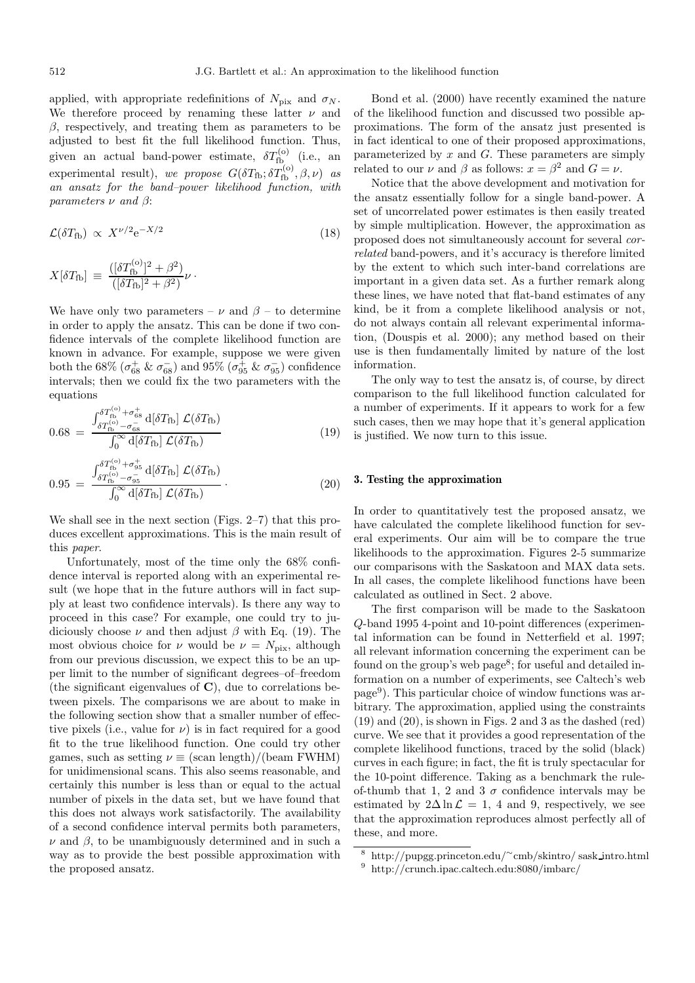applied, with appropriate redefinitions of  $N_{\text{pix}}$  and  $\sigma_N$ . We therefore proceed by renaming these latter  $\nu$  and  $\beta$ , respectively, and treating them as parameters to be adjusted to best fit the full likelihood function. Thus, given an actual band-power estimate,  $\delta T_{\text{fb}}^{(o)}$  (i.e., an experimental result), we propose  $G(\delta T_{\text{fb}}; \delta T_{\text{fb}}^{(o)}, \beta, \nu)$  as an ansatz for the band–power likelihood function, with parameters  $\nu$  and  $\beta$ :

$$
\mathcal{L}(\delta T_{\text{fb}}) \propto X^{\nu/2} e^{-X/2} \tag{18}
$$

$$
X[\delta T_{\rm fb}] \, \equiv \, \frac{([\delta T_{\rm fb}^{(\rm o)}]^2 + \beta^2)}{([\delta T_{\rm fb}]^2 + \beta^2)} \nu \, \cdot \,
$$

We have only two parameters –  $\nu$  and  $\beta$  – to determine in order to apply the ansatz. This can be done if two confidence intervals of the complete likelihood function are known in advance. For example, suppose we were given both the 68%  $(\sigma_{68}^+ \& \sigma_{68}^-)$  and 95%  $(\sigma_{95}^+ \& \sigma_{95}^-)$  confidence intervals; then we could fix the two parameters with the equations

$$
0.68 = \frac{\int_{\delta T_{\text{fb}}^{(\text{o})} - \sigma_{\text{es}}^{+}}^{\delta T_{\text{fb}}^{(\text{o})} + \sigma_{\text{es}}^{+}} d[\delta T_{\text{fb}}] \mathcal{L}(\delta T_{\text{fb}})}{\int_{0}^{\infty} d[\delta T_{\text{fb}}] \mathcal{L}(\delta T_{\text{fb}})} \tag{19}
$$

$$
0.95 = \frac{\int_{\delta T_{\text{fb}}^{(\text{o})} - \sigma_{\text{gs}}^{-}}^{\delta T_{\text{fb}}^{(\text{o})} + \sigma_{\text{gs}}^{+}} d[\delta T_{\text{fb}}] \mathcal{L}(\delta T_{\text{fb}})}{\int_{0}^{\infty} d[\delta T_{\text{fb}}] \mathcal{L}(\delta T_{\text{fb}})}.
$$
 (20)

We shall see in the next section (Figs. 2–7) that this produces excellent approximations. This is the main result of this paper.

Unfortunately, most of the time only the 68% confidence interval is reported along with an experimental result (we hope that in the future authors will in fact supply at least two confidence intervals). Is there any way to proceed in this case? For example, one could try to judiciously choose  $\nu$  and then adjust  $\beta$  with Eq. (19). The most obvious choice for  $\nu$  would be  $\nu = N_{\text{pix}}$ , although from our previous discussion, we expect this to be an upper limit to the number of significant degrees–of–freedom (the significant eigenvalues of **C**), due to correlations between pixels. The comparisons we are about to make in the following section show that a smaller number of effective pixels (i.e., value for  $\nu$ ) is in fact required for a good fit to the true likelihood function. One could try other games, such as setting  $\nu \equiv (scan length)/(beam FWHM)$ for unidimensional scans. This also seems reasonable, and certainly this number is less than or equal to the actual number of pixels in the data set, but we have found that this does not always work satisfactorily. The availability of a second confidence interval permits both parameters,  $\nu$  and  $\beta$ , to be unambiguously determined and in such a way as to provide the best possible approximation with the proposed ansatz.

Bond et al. (2000) have recently examined the nature of the likelihood function and discussed two possible approximations. The form of the ansatz just presented is in fact identical to one of their proposed approximations, parameterized by  $x$  and  $G$ . These parameters are simply related to our  $\nu$  and  $\beta$  as follows:  $x = \beta^2$  and  $G = \nu$ .

Notice that the above development and motivation for the ansatz essentially follow for a single band-power. A set of uncorrelated power estimates is then easily treated by simple multiplication. However, the approximation as proposed does not simultaneously account for several correlated band-powers, and it's accuracy is therefore limited by the extent to which such inter-band correlations are important in a given data set. As a further remark along these lines, we have noted that flat-band estimates of any kind, be it from a complete likelihood analysis or not, do not always contain all relevant experimental information, (Douspis et al. 2000); any method based on their use is then fundamentally limited by nature of the lost information.

The only way to test the ansatz is, of course, by direct comparison to the full likelihood function calculated for a number of experiments. If it appears to work for a few such cases, then we may hope that it's general application is justified. We now turn to this issue.

## **3. Testing the approximation**

In order to quantitatively test the proposed ansatz, we have calculated the complete likelihood function for several experiments. Our aim will be to compare the true likelihoods to the approximation. Figures 2-5 summarize our comparisons with the Saskatoon and MAX data sets. In all cases, the complete likelihood functions have been calculated as outlined in Sect. 2 above.

The first comparison will be made to the Saskatoon Q-band 1995 4-point and 10-point differences (experimental information can be found in Netterfield et al. 1997; all relevant information concerning the experiment can be found on the group's web page<sup>8</sup>; for useful and detailed information on a number of experiments, see Caltech's web page<sup>9</sup>). This particular choice of window functions was arbitrary. The approximation, applied using the constraints (19) and (20), is shown in Figs. 2 and 3 as the dashed (red) curve. We see that it provides a good representation of the complete likelihood functions, traced by the solid (black) curves in each figure; in fact, the fit is truly spectacular for the 10-point difference. Taking as a benchmark the ruleof-thumb that 1, 2 and 3  $\sigma$  confidence intervals may be estimated by  $2\Delta \ln \mathcal{L} = 1$ , 4 and 9, respectively, we see that the approximation reproduces almost perfectly all of these, and more.

<sup>9</sup> http://crunch.ipac.caltech.edu:8080/imbarc/

<sup>8</sup> http://pupgg.princeton.edu/∼cmb/skintro/ sask intro.html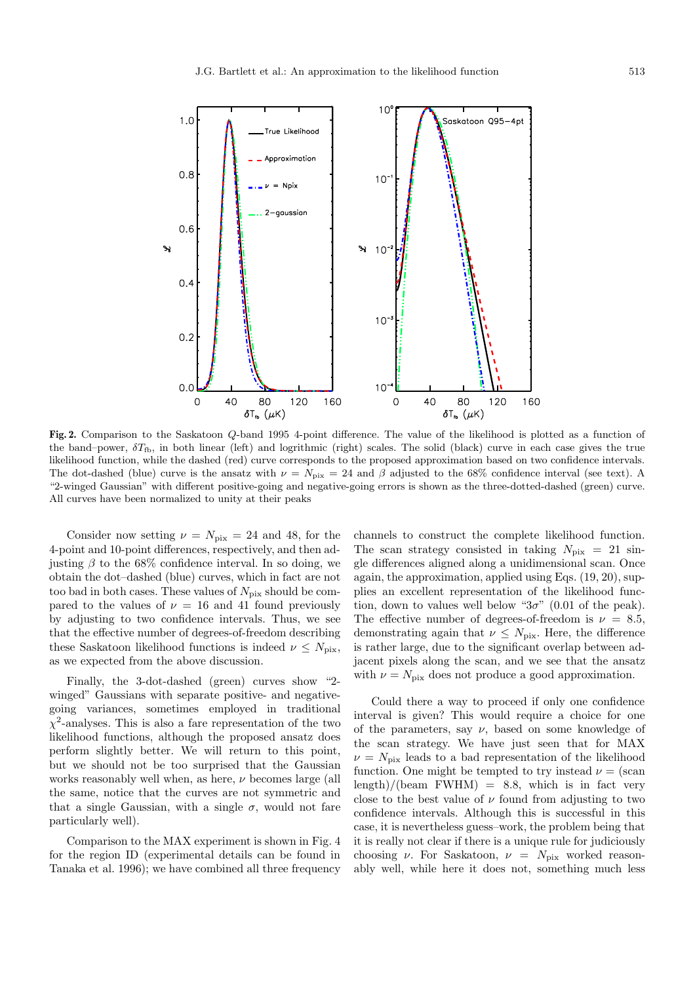

**Fig. 2.** Comparison to the Saskatoon Q-band 1995 4-point difference. The value of the likelihood is plotted as a function of the band–power,  $\delta T_{\text{fb}}$ , in both linear (left) and logrithmic (right) scales. The solid (black) curve in each case gives the true likelihood function, while the dashed (red) curve corresponds to the proposed approximation based on two confidence intervals. The dot-dashed (blue) curve is the ansatz with  $\nu = N_{\text{pix}} = 24$  and  $\beta$  adjusted to the 68% confidence interval (see text). A "2-winged Gaussian" with different positive-going and negative-going errors is shown as the three-dotted-dashed (green) curve. All curves have been normalized to unity at their peaks

Consider now setting  $\nu = N_{\text{pix}} = 24$  and 48, for the 4-point and 10-point differences, respectively, and then adjusting  $\beta$  to the 68% confidence interval. In so doing, we obtain the dot–dashed (blue) curves, which in fact are not too bad in both cases. These values of  $N_{\text{pix}}$  should be compared to the values of  $\nu = 16$  and 41 found previously by adjusting to two confidence intervals. Thus, we see that the effective number of degrees-of-freedom describing these Saskatoon likelihood functions is indeed  $\nu \leq N_{\text{pix}}$ , as we expected from the above discussion.

Finally, the 3-dot-dashed (green) curves show "2 winged" Gaussians with separate positive- and negativegoing variances, sometimes employed in traditional  $\chi^2$ -analyses. This is also a fare representation of the two likelihood functions, although the proposed ansatz does perform slightly better. We will return to this point, but we should not be too surprised that the Gaussian works reasonably well when, as here,  $\nu$  becomes large (all the same, notice that the curves are not symmetric and that a single Gaussian, with a single  $\sigma$ , would not fare particularly well).

Comparison to the MAX experiment is shown in Fig. 4 for the region ID (experimental details can be found in Tanaka et al. 1996); we have combined all three frequency channels to construct the complete likelihood function. The scan strategy consisted in taking  $N_{\text{pix}} = 21 \text{ sin}$ gle differences aligned along a unidimensional scan. Once again, the approximation, applied using Eqs. (19, 20), supplies an excellent representation of the likelihood function, down to values well below " $3\sigma$ " (0.01 of the peak). The effective number of degrees-of-freedom is  $\nu = 8.5$ , demonstrating again that  $\nu \leq N_{\text{pix}}$ . Here, the difference is rather large, due to the significant overlap between adjacent pixels along the scan, and we see that the ansatz with  $\nu = N_{\text{pix}}$  does not produce a good approximation.

Could there a way to proceed if only one confidence interval is given? This would require a choice for one of the parameters, say  $\nu$ , based on some knowledge of the scan strategy. We have just seen that for MAX  $\nu = N_{\text{pix}}$  leads to a bad representation of the likelihood function. One might be tempted to try instead  $\nu = (scan)$  $\text{length}/(\text{beam FWHM}) = 8.8$ , which is in fact very close to the best value of  $\nu$  found from adjusting to two confidence intervals. Although this is successful in this case, it is nevertheless guess–work, the problem being that it is really not clear if there is a unique rule for judiciously choosing  $\nu$ . For Saskatoon,  $\nu = N_{\text{pix}}$  worked reasonably well, while here it does not, something much less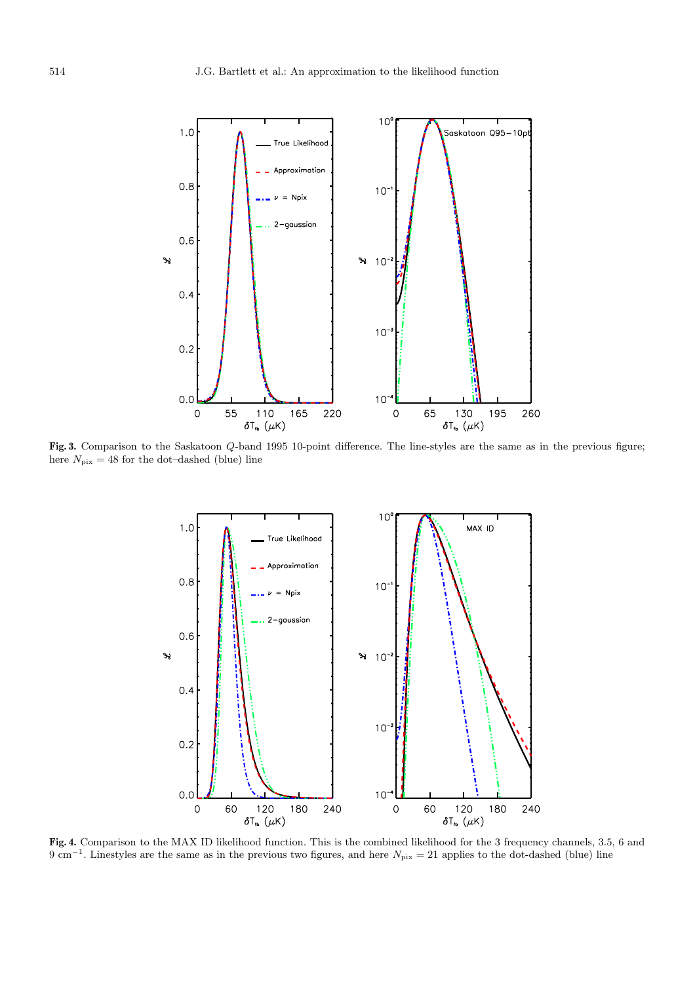

Fig. 3. Comparison to the Saskatoon Q-band 1995 10-point difference. The line-styles are the same as in the previous figure; here  $N_{\text{pix}} = 48$  for the dot–dashed (blue) line



**Fig. 4.** Comparison to the MAX ID likelihood function. This is the combined likelihood for the 3 frequency channels, 3.5, 6 and 9 cm<sup>-1</sup>. Linestyles are the same as in the previous two figures, and here  $N_{\text{pix}} = 21$  applies to the dot-dashed (blue) line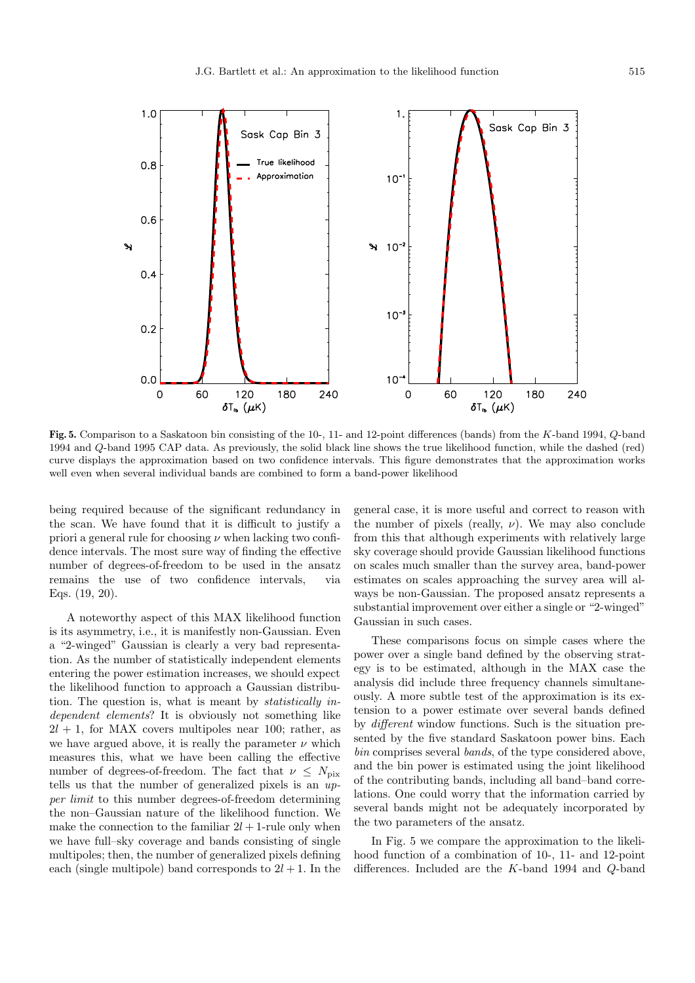

**Fig. 5.** Comparison to a Saskatoon bin consisting of the 10-, 11- and 12-point differences (bands) from the K-band 1994, Q-band 1994 and Q-band 1995 CAP data. As previously, the solid black line shows the true likelihood function, while the dashed (red) curve displays the approximation based on two confidence intervals. This figure demonstrates that the approximation works well even when several individual bands are combined to form a band-power likelihood

being required because of the significant redundancy in the scan. We have found that it is difficult to justify a priori a general rule for choosing  $\nu$  when lacking two confidence intervals. The most sure way of finding the effective number of degrees-of-freedom to be used in the ansatz remains the use of two confidence intervals, via Eqs. (19, 20).

A noteworthy aspect of this MAX likelihood function is its asymmetry, i.e., it is manifestly non-Gaussian. Even a "2-winged" Gaussian is clearly a very bad representation. As the number of statistically independent elements entering the power estimation increases, we should expect the likelihood function to approach a Gaussian distribution. The question is, what is meant by statistically independent elements? It is obviously not something like  $2l + 1$ , for MAX covers multipoles near 100; rather, as we have argued above, it is really the parameter  $\nu$  which measures this, what we have been calling the effective number of degrees-of-freedom. The fact that  $\nu \leq N_{\text{pix}}$ tells us that the number of generalized pixels is an upper limit to this number degrees-of-freedom determining the non–Gaussian nature of the likelihood function. We make the connection to the familiar  $2l + 1$ -rule only when we have full–sky coverage and bands consisting of single multipoles; then, the number of generalized pixels defining each (single multipole) band corresponds to  $2l + 1$ . In the

general case, it is more useful and correct to reason with the number of pixels (really,  $\nu$ ). We may also conclude from this that although experiments with relatively large sky coverage should provide Gaussian likelihood functions on scales much smaller than the survey area, band-power estimates on scales approaching the survey area will always be non-Gaussian. The proposed ansatz represents a substantial improvement over either a single or "2-winged" Gaussian in such cases.

These comparisons focus on simple cases where the power over a single band defined by the observing strategy is to be estimated, although in the MAX case the analysis did include three frequency channels simultaneously. A more subtle test of the approximation is its extension to a power estimate over several bands defined by different window functions. Such is the situation presented by the five standard Saskatoon power bins. Each bin comprises several bands, of the type considered above, and the bin power is estimated using the joint likelihood of the contributing bands, including all band–band correlations. One could worry that the information carried by several bands might not be adequately incorporated by the two parameters of the ansatz.

In Fig. 5 we compare the approximation to the likelihood function of a combination of 10-, 11- and 12-point differences. Included are the K-band 1994 and Q-band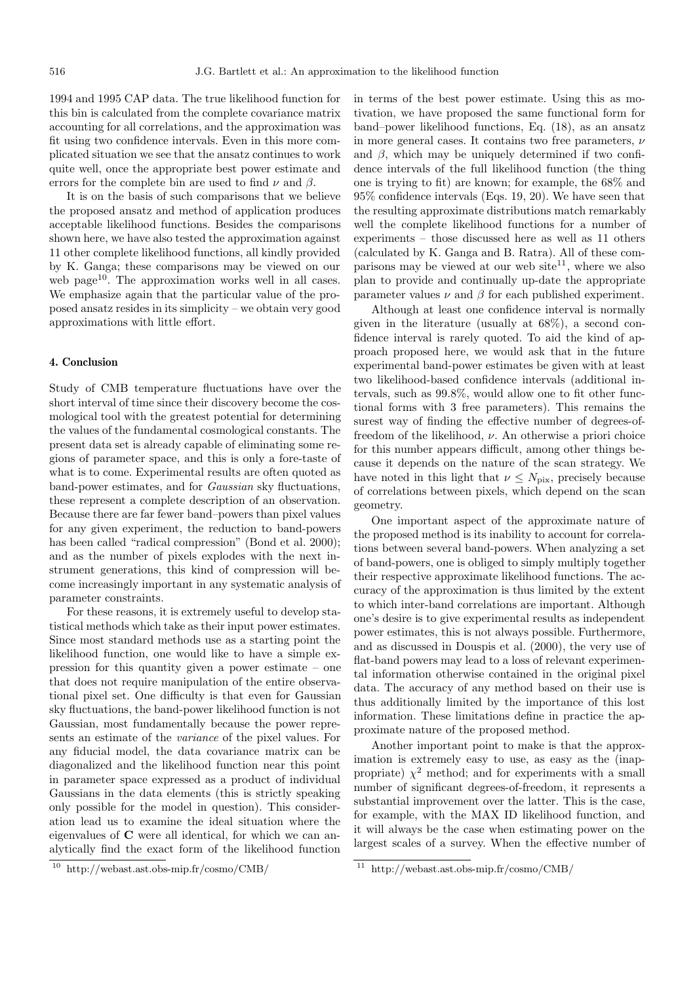1994 and 1995 CAP data. The true likelihood function for this bin is calculated from the complete covariance matrix accounting for all correlations, and the approximation was fit using two confidence intervals. Even in this more complicated situation we see that the ansatz continues to work quite well, once the appropriate best power estimate and errors for the complete bin are used to find  $\nu$  and  $\beta$ .

It is on the basis of such comparisons that we believe the proposed ansatz and method of application produces acceptable likelihood functions. Besides the comparisons shown here, we have also tested the approximation against 11 other complete likelihood functions, all kindly provided by K. Ganga; these comparisons may be viewed on our web page<sup>10</sup>. The approximation works well in all cases. We emphasize again that the particular value of the proposed ansatz resides in its simplicity – we obtain very good approximations with little effort.

## **4. Conclusion**

Study of CMB temperature fluctuations have over the short interval of time since their discovery become the cosmological tool with the greatest potential for determining the values of the fundamental cosmological constants. The present data set is already capable of eliminating some regions of parameter space, and this is only a fore-taste of what is to come. Experimental results are often quoted as band-power estimates, and for Gaussian sky fluctuations, these represent a complete description of an observation. Because there are far fewer band–powers than pixel values for any given experiment, the reduction to band-powers has been called "radical compression" (Bond et al. 2000); and as the number of pixels explodes with the next instrument generations, this kind of compression will become increasingly important in any systematic analysis of parameter constraints.

For these reasons, it is extremely useful to develop statistical methods which take as their input power estimates. Since most standard methods use as a starting point the likelihood function, one would like to have a simple expression for this quantity given a power estimate – one that does not require manipulation of the entire observational pixel set. One difficulty is that even for Gaussian sky fluctuations, the band-power likelihood function is not Gaussian, most fundamentally because the power represents an estimate of the variance of the pixel values. For any fiducial model, the data covariance matrix can be diagonalized and the likelihood function near this point in parameter space expressed as a product of individual Gaussians in the data elements (this is strictly speaking only possible for the model in question). This consideration lead us to examine the ideal situation where the eigenvalues of **C** were all identical, for which we can analytically find the exact form of the likelihood function

in terms of the best power estimate. Using this as motivation, we have proposed the same functional form for band–power likelihood functions, Eq. (18), as an ansatz in more general cases. It contains two free parameters,  $\nu$ and  $\beta$ , which may be uniquely determined if two confidence intervals of the full likelihood function (the thing one is trying to fit) are known; for example, the 68% and 95% confidence intervals (Eqs. 19, 20). We have seen that the resulting approximate distributions match remarkably well the complete likelihood functions for a number of experiments – those discussed here as well as 11 others (calculated by K. Ganga and B. Ratra). All of these comparisons may be viewed at our web site $^{11}$ , where we also plan to provide and continually up-date the appropriate parameter values  $\nu$  and  $\beta$  for each published experiment.

Although at least one confidence interval is normally given in the literature (usually at 68%), a second confidence interval is rarely quoted. To aid the kind of approach proposed here, we would ask that in the future experimental band-power estimates be given with at least two likelihood-based confidence intervals (additional intervals, such as 99.8%, would allow one to fit other functional forms with 3 free parameters). This remains the surest way of finding the effective number of degrees-offreedom of the likelihood,  $\nu$ . An otherwise a priori choice for this number appears difficult, among other things because it depends on the nature of the scan strategy. We have noted in this light that  $\nu \leq N_{\text{pix}}$ , precisely because of correlations between pixels, which depend on the scan geometry.

One important aspect of the approximate nature of the proposed method is its inability to account for correlations between several band-powers. When analyzing a set of band-powers, one is obliged to simply multiply together their respective approximate likelihood functions. The accuracy of the approximation is thus limited by the extent to which inter-band correlations are important. Although one's desire is to give experimental results as independent power estimates, this is not always possible. Furthermore, and as discussed in Douspis et al. (2000), the very use of flat-band powers may lead to a loss of relevant experimental information otherwise contained in the original pixel data. The accuracy of any method based on their use is thus additionally limited by the importance of this lost information. These limitations define in practice the approximate nature of the proposed method.

Another important point to make is that the approximation is extremely easy to use, as easy as the (inappropriate)  $\chi^2$  method; and for experiments with a small number of significant degrees-of-freedom, it represents a substantial improvement over the latter. This is the case, for example, with the MAX ID likelihood function, and it will always be the case when estimating power on the largest scales of a survey. When the effective number of

<sup>10</sup> http://webast.ast.obs-mip.fr/cosmo/CMB/

<sup>11</sup> http://webast.ast.obs-mip.fr/cosmo/CMB/